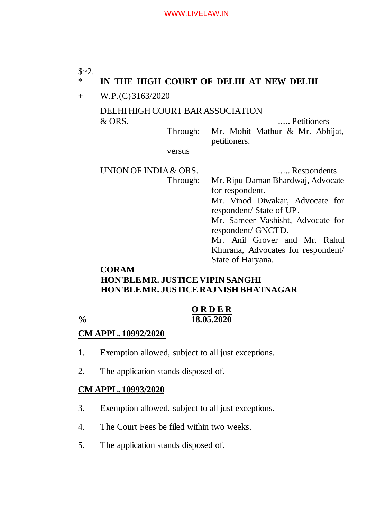# $$~2.$ \* **IN THE HIGH COURT OF DELHI AT NEW DELHI** + W.P.(C) 3163/2020 DELHI HIGH COURT BAR ASSOCIATION & ORS. ..... Petitioners Through: Mr. Mohit Mathur & Mr. Abhijat, petitioners. versus UNION OF INDIA & ORS. ..... Respondents Through: Mr. Ripu Daman Bhardwaj, Advocate for respondent. Mr. Vinod Diwakar, Advocate for respondent/ State of UP. Mr. Sameer Vashisht, Advocate for respondent/ GNCTD. Mr. Anil Grover and Mr. Rahul Khurana, Advocates for respondent/ State of Haryana. **CORAM**

# **HON'BLE MR. JUSTICE VIPIN SANGHI HON'BLE MR. JUSTICE RAJNISH BHATNAGAR**

**O R D E R % 18.05.2020**

## **CM APPL. 10992/2020**

- 1. Exemption allowed, subject to all just exceptions.
- 2. The application stands disposed of.

## **CM APPL. 10993/2020**

- 3. Exemption allowed, subject to all just exceptions.
- 4. The Court Fees be filed within two weeks.
- 5. The application stands disposed of.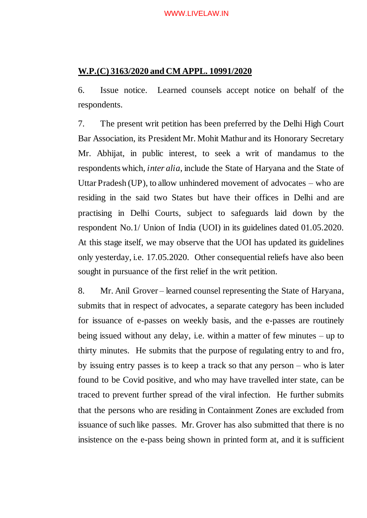### **W.P.(C) 3163/2020 and CM APPL. 10991/2020**

6. Issue notice. Learned counsels accept notice on behalf of the respondents.

7. The present writ petition has been preferred by the Delhi High Court Bar Association, its President Mr. Mohit Mathur and its Honorary Secretary Mr. Abhijat, in public interest, to seek a writ of mandamus to the respondents which, *inter alia*, include the State of Haryana and the State of Uttar Pradesh (UP), to allow unhindered movement of advocates – who are residing in the said two States but have their offices in Delhi and are practising in Delhi Courts, subject to safeguards laid down by the respondent No.1/ Union of India (UOI) in its guidelines dated 01.05.2020. At this stage itself, we may observe that the UOI has updated its guidelines only yesterday, i.e. 17.05.2020. Other consequential reliefs have also been sought in pursuance of the first relief in the writ petition.

8. Mr. Anil Grover – learned counsel representing the State of Haryana, submits that in respect of advocates, a separate category has been included for issuance of e-passes on weekly basis, and the e-passes are routinely being issued without any delay, i.e. within a matter of few minutes – up to thirty minutes. He submits that the purpose of regulating entry to and fro, by issuing entry passes is to keep a track so that any person – who is later found to be Covid positive, and who may have travelled inter state, can be traced to prevent further spread of the viral infection. He further submits that the persons who are residing in Containment Zones are excluded from issuance of such like passes. Mr. Grover has also submitted that there is no insistence on the e-pass being shown in printed form at, and it is sufficient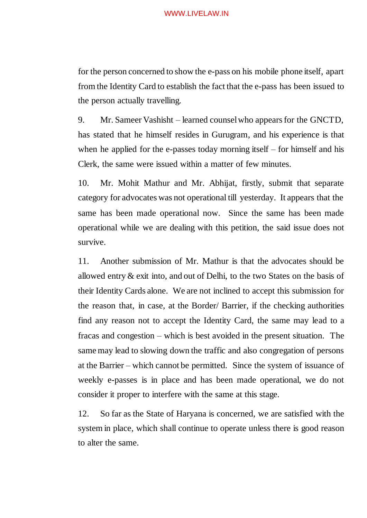#### WWW.LIVELAW.IN

for the person concerned to show the e-pass on his mobile phone itself, apart from the Identity Card to establish the fact that the e-pass has been issued to the person actually travelling.

9. Mr. Sameer Vashisht – learned counsel who appears for the GNCTD, has stated that he himself resides in Gurugram, and his experience is that when he applied for the e-passes today morning itself  $-$  for himself and his Clerk, the same were issued within a matter of few minutes.

10. Mr. Mohit Mathur and Mr. Abhijat, firstly, submit that separate category for advocates was not operational till yesterday. It appears that the same has been made operational now. Since the same has been made operational while we are dealing with this petition, the said issue does not survive.

11. Another submission of Mr. Mathur is that the advocates should be allowed entry & exit into, and out of Delhi, to the two States on the basis of their Identity Cards alone. We are not inclined to accept this submission for the reason that, in case, at the Border/ Barrier, if the checking authorities find any reason not to accept the Identity Card, the same may lead to a fracas and congestion – which is best avoided in the present situation. The same may lead to slowing down the traffic and also congregation of persons at the Barrier – which cannot be permitted. Since the system of issuance of weekly e-passes is in place and has been made operational, we do not consider it proper to interfere with the same at this stage.

12. So far as the State of Haryana is concerned, we are satisfied with the system in place, which shall continue to operate unless there is good reason to alter the same.